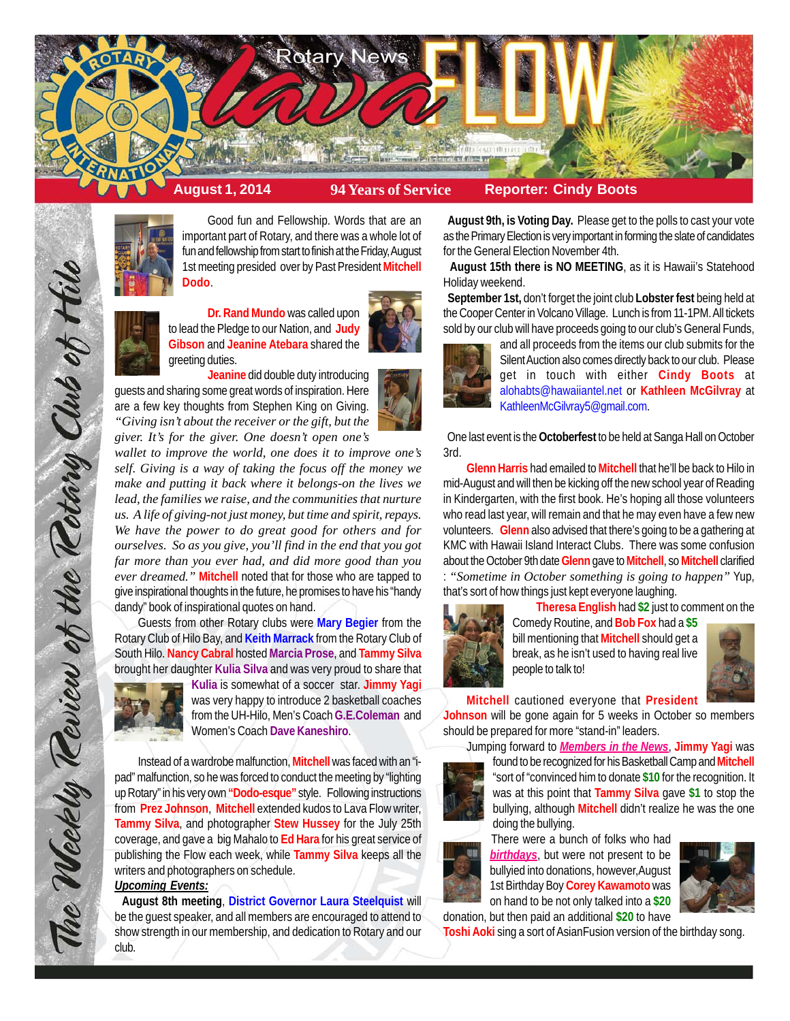



Good fun and Fellowship. Words that are an important part of Rotary, and there was a whole lot of fun and fellowship from start to finish at the Friday, August 1st meeting presided over by Past President **Mitchell Dodo**.



**Dr. Rand Mundo** was called upon to lead the Pledge to our Nation, and **Judy Gibson** and **Jeanine Atebara** shared the greeting duties.

**Jeanine** did double duty introducing guests and sharing some great words of inspiration. Here are a few key thoughts from Stephen King on Giving. *"Giving isn't about the receiver or the gift, but the giver. It's for the giver. One doesn't open one's*

*wallet to improve the world, one does it to improve one's self. Giving is a way of taking the focus off the money we make and putting it back where it belongs-on the lives we lead, the families we raise, and the communities that nurture us. A life of giving-not just money, but time and spirit, repays. We have the power to do great good for others and for ourselves. So as you give, you'll find in the end that you got far more than you ever had, and did more good than you ever dreamed."* **Mitchell** noted that for those who are tapped to give inspirational thoughts in the future, he promises to have his "handy dandy" book of inspirational quotes on hand.

Guests from other Rotary clubs were **Mary Begier** from the Rotary Club of Hilo Bay, and **Keith Marrack** from the Rotary Club of South Hilo. **Nancy Cabral** hosted **Marcia Prose**, and **Tammy Silva** brought her daughter **Kulia Silva** and was very proud to share that



The Weekly Review of the Rotary Club of Hilo

**Kulia** is somewhat of a soccer star. **Jimmy Yagi** was very happy to introduce 2 basketball coaches from the UH-Hilo, Men's Coach **G.E.Coleman** and Women's Coach **Dave Kaneshiro**.

Instead of a wardrobe malfunction, **Mitchell** was faced with an "ipad" malfunction, so he was forced to conduct the meeting by "lighting up Rotary" in his very own **"Dodo-esque"** style. Following instructions from **Prez Johnson**, **Mitchell** extended kudos to Lava Flow writer, **Tammy Silva**, and photographer **Stew Hussey** for the July 25th coverage, and gave a big Mahalo to **Ed Hara** for his great service of publishing the Flow each week, while **Tammy Silva** keeps all the writers and photographers on schedule.

## *Upcoming Events:*

 **August 8th meeting**, **District Governor Laura Steelquist** will be the guest speaker, and all members are encouraged to attend to show strength in our membership, and dedication to Rotary and our club.

 **August 9th, is Voting Day.** Please get to the polls to cast your vote as the Primary Election is very important in forming the slate of candidates for the General Election November 4th.

 **August 15th there is NO MEETING**, as it is Hawaii's Statehood Holiday weekend.

 **September 1st,** don't forget the joint club **Lobster fest** being held at the Cooper Center in Volcano Village. Lunch is from 11-1PM. All tickets sold by our club will have proceeds going to our club's General Funds,



and all proceeds from the items our club submits for the Silent Auction also comes directly back to our club. Please get in touch with either **Cindy Boots** at alohabts@hawaiiantel.net or **Kathleen McGilvray** at KathleenMcGilvray5@gmail.com.

 One last event is the **Octoberfest** to be held at Sanga Hall on October 3rd.

**Glenn Harris** had emailed to **Mitchell** that he'll be back to Hilo in mid-August and will then be kicking off the new school year of Reading in Kindergarten, with the first book. He's hoping all those volunteers who read last year, will remain and that he may even have a few new volunteers. **Glenn** also advised that there's going to be a gathering at KMC with Hawaii Island Interact Clubs. There was some confusion about the October 9th date **Glenn** gave to **Mitchell**, so **Mitchell** clarified : *"Sometime in October something is going to happen"* Yup, that's sort of how things just kept everyone laughing.



**Theresa English** had **\$2** just to comment on the Comedy Routine, and **Bob Fox** had a **\$5** bill mentioning that **Mitchell** should get a break, as he isn't used to having real live people to talk to!



**Mitchell** cautioned everyone that **President Johnson** will be gone again for 5 weeks in October so members

should be prepared for more "stand-in" leaders.

Jumping forward to *Members in the News*, **Jimmy Yagi** was



found to be recognized for his Basketball Camp and **Mitchell** "sort of "convinced him to donate **\$10** for the recognition. It was at this point that **Tammy Silva** gave **\$1** to stop the bullying, although **Mitchell** didn't realize he was the one doing the bullying.

There were a bunch of folks who had *birthdays*, but were not present to be bullyied into donations, however,August 1st Birthday Boy **Corey Kawamoto** was on hand to be not only talked into a **\$20**



donation, but then paid an additional **\$20** to have **Toshi Aoki** sing a sort of AsianFusion version of the birthday song.